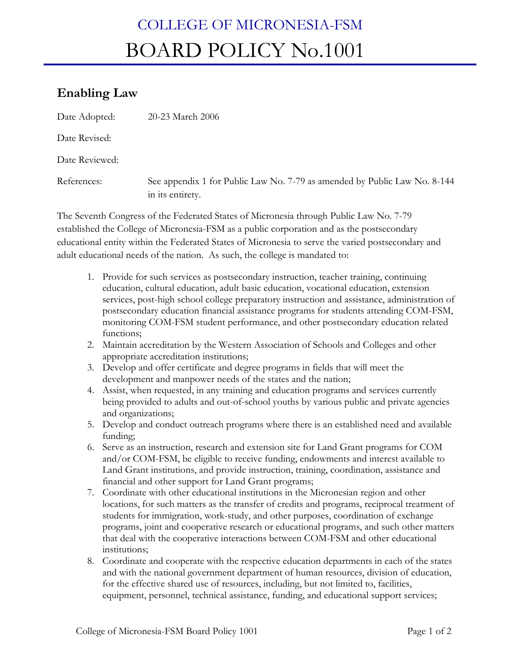## COLLEGE OF MICRONESIA-FSM BOARD POLICY No.1001

## **Enabling Law**

| Date Adopted:  | 20-23 March 2006                                                                              |
|----------------|-----------------------------------------------------------------------------------------------|
| Date Revised:  |                                                                                               |
| Date Reviewed: |                                                                                               |
| References:    | See appendix 1 for Public Law No. 7-79 as amended by Public Law No. 8-144<br>in its entirety. |

The Seventh Congress of the Federated States of Micronesia through Public Law No. 7-79 established the College of Micronesia-FSM as a public corporation and as the postsecondary educational entity within the Federated States of Micronesia to serve the varied postsecondary and adult educational needs of the nation. As such, the college is mandated to:

- 1. Provide for such services as postsecondary instruction, teacher training, continuing education, cultural education, adult basic education, vocational education, extension services, post-high school college preparatory instruction and assistance, administration of postsecondary education financial assistance programs for students attending COM-FSM, monitoring COM-FSM student performance, and other postsecondary education related functions;
- 2. Maintain accreditation by the Western Association of Schools and Colleges and other appropriate accreditation institutions;
- 3. Develop and offer certificate and degree programs in fields that will meet the development and manpower needs of the states and the nation;
- 4. Assist, when requested, in any training and education programs and services currently being provided to adults and out-of-school youths by various public and private agencies and organizations;
- 5. Develop and conduct outreach programs where there is an established need and available funding;
- 6. Serve as an instruction, research and extension site for Land Grant programs for COM and/or COM-FSM, be eligible to receive funding, endowments and interest available to Land Grant institutions, and provide instruction, training, coordination, assistance and financial and other support for Land Grant programs;
- 7. Coordinate with other educational institutions in the Micronesian region and other locations, for such matters as the transfer of credits and programs, reciprocal treatment of students for immigration, work-study, and other purposes, coordination of exchange programs, joint and cooperative research or educational programs, and such other matters that deal with the cooperative interactions between COM-FSM and other educational institutions;
- 8. Coordinate and cooperate with the respective education departments in each of the states and with the national government department of human resources, division of education, for the effective shared use of resources, including, but not limited to, facilities, equipment, personnel, technical assistance, funding, and educational support services;